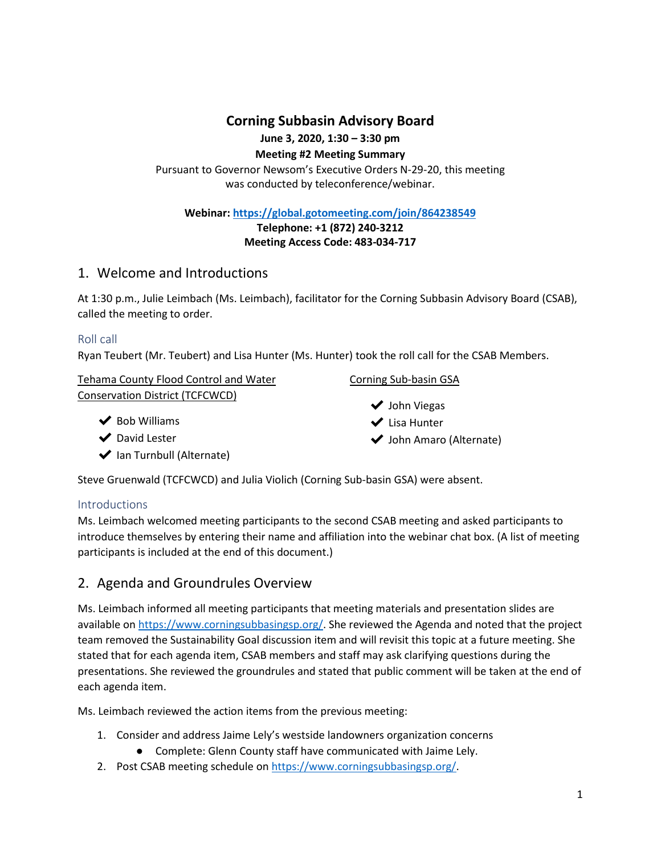**Corning Subbasin Advisory Board**

**June 3, 2020, 1:30 – 3:30 pm**

**Meeting #2 Meeting Summary**

Pursuant to Governor Newsom's Executive Orders N-29-20, this meeting was conducted by teleconference/webinar.

**Webinar:<https://global.gotomeeting.com/join/864238549>**

**Telephone: +1 (872) 240-3212**

**Meeting Access Code: 483-034-717**

# 1. Welcome and Introductions

At 1:30 p.m., Julie Leimbach (Ms. Leimbach), facilitator for the Corning Subbasin Advisory Board (CSAB), called the meeting to order.

## Roll call

Ryan Teubert (Mr. Teubert) and Lisa Hunter (Ms. Hunter) took the roll call for the CSAB Members.

| <b>Tehama County Flood Control and Water</b> |
|----------------------------------------------|
| Conservation District (TCFCWCD)              |

 $\blacktriangleright$  Bob Williams

◆ David Lester

 $\blacktriangleright$  Ian Turnbull (Alternate)

## Corning Sub-basin GSA

- ◆ John Viegas
- ✔ Lisa Hunter
- ◆ John Amaro (Alternate)

Steve Gruenwald (TCFCWCD) and Julia Violich (Corning Sub-basin GSA) were absent.

### **Introductions**

Ms. Leimbach welcomed meeting participants to the second CSAB meeting and asked participants to introduce themselves by entering their name and affiliation into the webinar chat box. (A list of meeting participants is included at the end of this document.)

# 2. Agenda and Groundrules Overview

Ms. Leimbach informed all meeting participants that meeting materials and presentation slides are available on [https://www.corningsubbasingsp.org/.](https://www.corningsubbasingsp.org/) She reviewed the Agenda and noted that the project team removed the Sustainability Goal discussion item and will revisit this topic at a future meeting. She stated that for each agenda item, CSAB members and staff may ask clarifying questions during the presentations. She reviewed the groundrules and stated that public comment will be taken at the end of each agenda item.

Ms. Leimbach reviewed the action items from the previous meeting:

- 1. Consider and address Jaime Lely's westside landowners organization concerns
	- Complete: Glenn County staff have communicated with Jaime Lely.
- 2. Post CSAB meeting schedule o[n https://www.corningsubbasingsp.org/.](https://www.corningsubbasingsp.org/)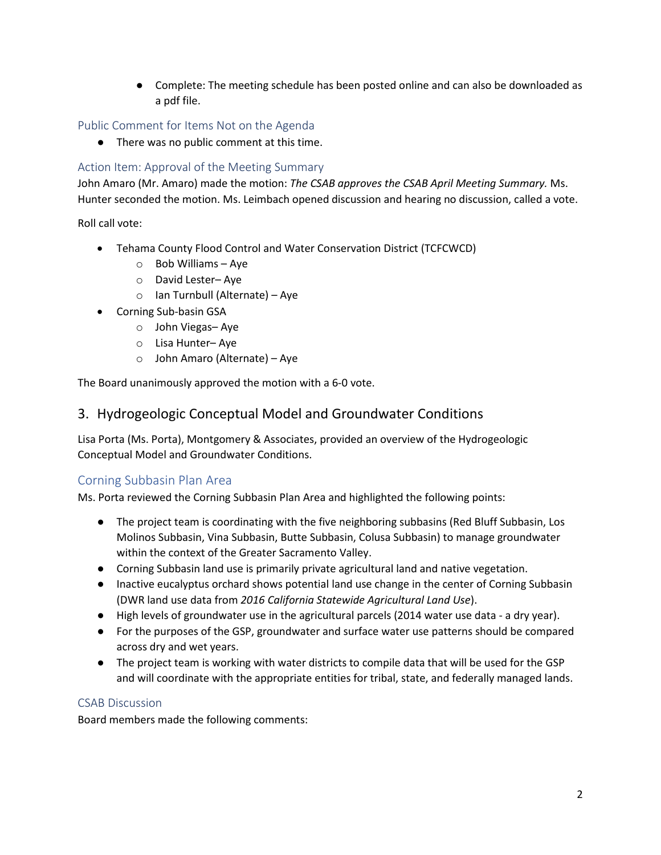● Complete: The meeting schedule has been posted online and can also be downloaded as a pdf file.

## Public Comment for Items Not on the Agenda

● There was no public comment at this time.

## Action Item: Approval of the Meeting Summary

John Amaro (Mr. Amaro) made the motion: *The CSAB approves the CSAB April Meeting Summary.* Ms. Hunter seconded the motion. Ms. Leimbach opened discussion and hearing no discussion, called a vote.

Roll call vote:

- Tehama County Flood Control and Water Conservation District (TCFCWCD)
	- o Bob Williams Aye
	- o David Lester– Aye
	- o Ian Turnbull (Alternate) Aye
- Corning Sub-basin GSA
	- o John Viegas– Aye
	- o Lisa Hunter– Aye
	- o John Amaro (Alternate) Aye

The Board unanimously approved the motion with a 6-0 vote.

# 3. Hydrogeologic Conceptual Model and Groundwater Conditions

Lisa Porta (Ms. Porta), Montgomery & Associates, provided an overview of the Hydrogeologic Conceptual Model and Groundwater Conditions.

## Corning Subbasin Plan Area

Ms. Porta reviewed the Corning Subbasin Plan Area and highlighted the following points:

- The project team is coordinating with the five neighboring subbasins (Red Bluff Subbasin, Los Molinos Subbasin, Vina Subbasin, Butte Subbasin, Colusa Subbasin) to manage groundwater within the context of the Greater Sacramento Valley.
- Corning Subbasin land use is primarily private agricultural land and native vegetation.
- Inactive eucalyptus orchard shows potential land use change in the center of Corning Subbasin (DWR land use data from *2016 California Statewide Agricultural Land Use*).
- High levels of groundwater use in the agricultural parcels (2014 water use data a dry year).
- For the purposes of the GSP, groundwater and surface water use patterns should be compared across dry and wet years.
- The project team is working with water districts to compile data that will be used for the GSP and will coordinate with the appropriate entities for tribal, state, and federally managed lands.

### CSAB Discussion

Board members made the following comments: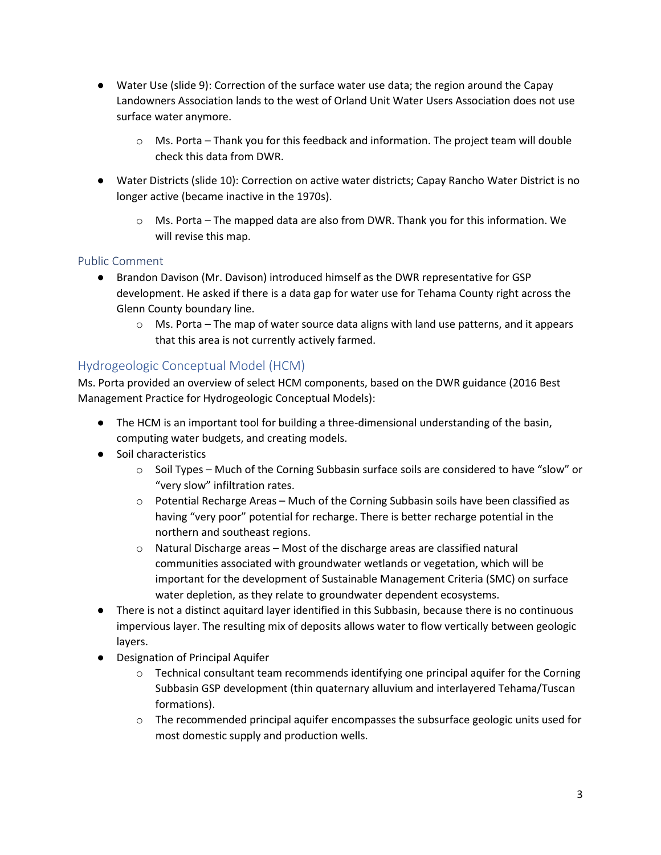- Water Use (slide 9): Correction of the surface water use data; the region around the Capay Landowners Association lands to the west of Orland Unit Water Users Association does not use surface water anymore.
	- o Ms. Porta Thank you for this feedback and information. The project team will double check this data from DWR.
- Water Districts (slide 10): Correction on active water districts; Capay Rancho Water District is no longer active (became inactive in the 1970s).
	- $\circ$  Ms. Porta The mapped data are also from DWR. Thank you for this information. We will revise this map.

### Public Comment

- Brandon Davison (Mr. Davison) introduced himself as the DWR representative for GSP development. He asked if there is a data gap for water use for Tehama County right across the Glenn County boundary line.
	- $\circ$  Ms. Porta The map of water source data aligns with land use patterns, and it appears that this area is not currently actively farmed.

## Hydrogeologic Conceptual Model (HCM)

Ms. Porta provided an overview of select HCM components, based on the DWR guidance (2016 Best Management Practice for Hydrogeologic Conceptual Models):

- The HCM is an important tool for building a three-dimensional understanding of the basin, computing water budgets, and creating models.
- Soil characteristics
	- o Soil Types Much of the Corning Subbasin surface soils are considered to have "slow" or "very slow" infiltration rates.
	- o Potential Recharge Areas Much of the Corning Subbasin soils have been classified as having "very poor" potential for recharge. There is better recharge potential in the northern and southeast regions.
	- o Natural Discharge areas Most of the discharge areas are classified natural communities associated with groundwater wetlands or vegetation, which will be important for the development of Sustainable Management Criteria (SMC) on surface water depletion, as they relate to groundwater dependent ecosystems.
- There is not a distinct aquitard layer identified in this Subbasin, because there is no continuous impervious layer. The resulting mix of deposits allows water to flow vertically between geologic layers.
- Designation of Principal Aquifer
	- $\circ$  Technical consultant team recommends identifying one principal aquifer for the Corning Subbasin GSP development (thin quaternary alluvium and interlayered Tehama/Tuscan formations).
	- $\circ$  The recommended principal aquifer encompasses the subsurface geologic units used for most domestic supply and production wells.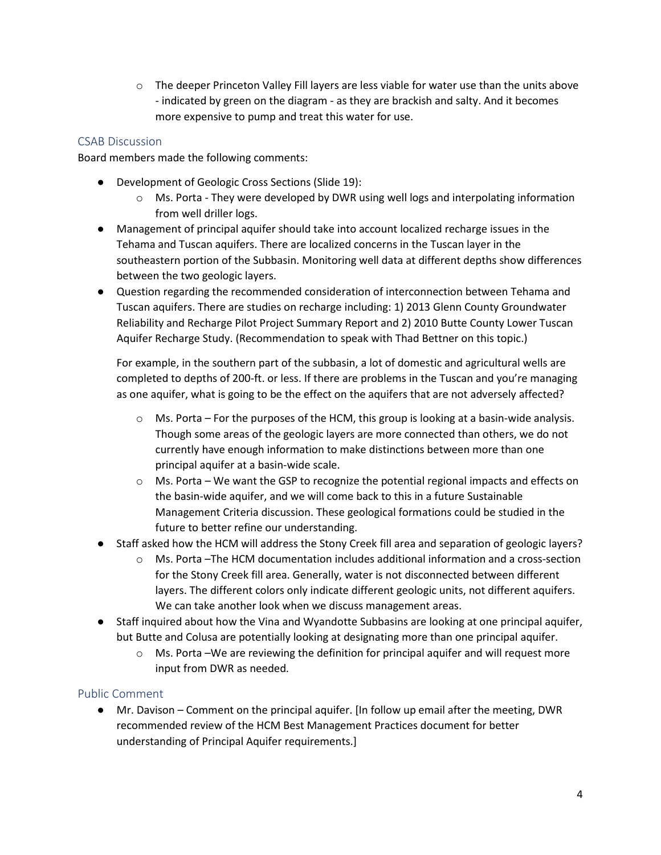o The deeper Princeton Valley Fill layers are less viable for water use than the units above - indicated by green on the diagram - as they are brackish and salty. And it becomes more expensive to pump and treat this water for use.

#### CSAB Discussion

Board members made the following comments:

- Development of Geologic Cross Sections (Slide 19):
	- o Ms. Porta They were developed by DWR using well logs and interpolating information from well driller logs.
- Management of principal aquifer should take into account localized recharge issues in the Tehama and Tuscan aquifers. There are localized concerns in the Tuscan layer in the southeastern portion of the Subbasin. Monitoring well data at different depths show differences between the two geologic layers.
- Question regarding the recommended consideration of interconnection between Tehama and Tuscan aquifers. There are studies on recharge including: 1) 2013 Glenn County Groundwater Reliability and Recharge Pilot Project Summary Report and 2) 2010 Butte County Lower Tuscan Aquifer Recharge Study. (Recommendation to speak with Thad Bettner on this topic.)

For example, in the southern part of the subbasin, a lot of domestic and agricultural wells are completed to depths of 200-ft. or less. If there are problems in the Tuscan and you're managing as one aquifer, what is going to be the effect on the aquifers that are not adversely affected?

- $\circ$  Ms. Porta For the purposes of the HCM, this group is looking at a basin-wide analysis. Though some areas of the geologic layers are more connected than others, we do not currently have enough information to make distinctions between more than one principal aquifer at a basin-wide scale.
- $\circ$  Ms. Porta We want the GSP to recognize the potential regional impacts and effects on the basin-wide aquifer, and we will come back to this in a future Sustainable Management Criteria discussion. These geological formations could be studied in the future to better refine our understanding.
- Staff asked how the HCM will address the Stony Creek fill area and separation of geologic layers?
	- o Ms. Porta –The HCM documentation includes additional information and a cross-section for the Stony Creek fill area. Generally, water is not disconnected between different layers. The different colors only indicate different geologic units, not different aquifers. We can take another look when we discuss management areas.
- Staff inquired about how the Vina and Wyandotte Subbasins are looking at one principal aquifer, but Butte and Colusa are potentially looking at designating more than one principal aquifer.
	- $\circ$  Ms. Porta –We are reviewing the definition for principal aquifer and will request more input from DWR as needed.

### Public Comment

● Mr. Davison – Comment on the principal aquifer. [In follow up email after the meeting, DWR recommended review of the HCM Best Management Practices document for better understanding of Principal Aquifer requirements.]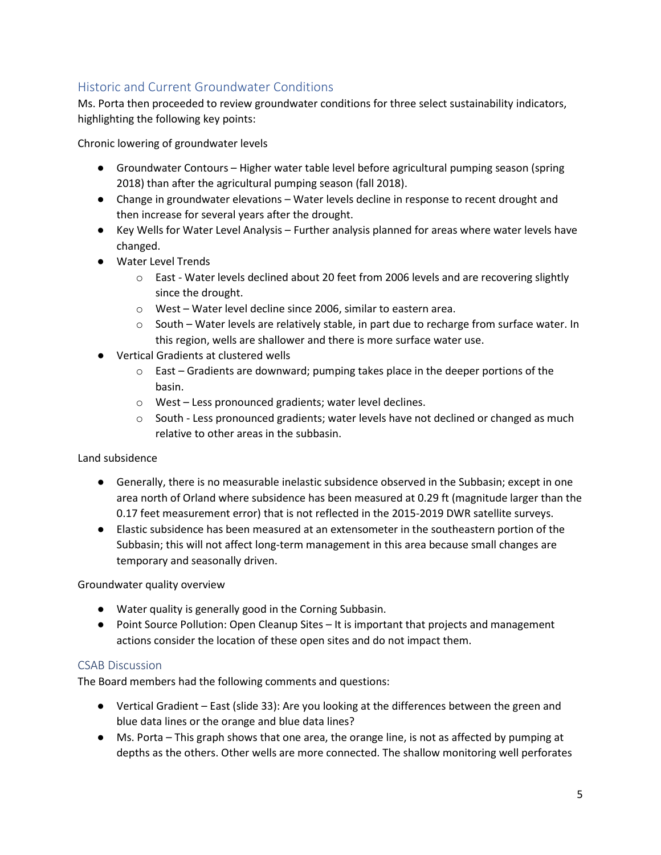# Historic and Current Groundwater Conditions

Ms. Porta then proceeded to review groundwater conditions for three select sustainability indicators, highlighting the following key points:

Chronic lowering of groundwater levels

- Groundwater Contours Higher water table level before agricultural pumping season (spring 2018) than after the agricultural pumping season (fall 2018).
- Change in groundwater elevations Water levels decline in response to recent drought and then increase for several years after the drought.
- Key Wells for Water Level Analysis Further analysis planned for areas where water levels have changed.
- Water Level Trends
	- o East Water levels declined about 20 feet from 2006 levels and are recovering slightly since the drought.
	- o West Water level decline since 2006, similar to eastern area.
	- $\circ$  South Water levels are relatively stable, in part due to recharge from surface water. In this region, wells are shallower and there is more surface water use.
- Vertical Gradients at clustered wells
	- $\circ$  East Gradients are downward; pumping takes place in the deeper portions of the basin.
	- o West Less pronounced gradients; water level declines.
	- $\circ$  South Less pronounced gradients; water levels have not declined or changed as much relative to other areas in the subbasin.

### Land subsidence

- Generally, there is no measurable inelastic subsidence observed in the Subbasin; except in one area north of Orland where subsidence has been measured at 0.29 ft (magnitude larger than the 0.17 feet measurement error) that is not reflected in the 2015-2019 DWR satellite surveys.
- Elastic subsidence has been measured at an extensometer in the southeastern portion of the Subbasin; this will not affect long-term management in this area because small changes are temporary and seasonally driven.

Groundwater quality overview

- Water quality is generally good in the Corning Subbasin.
- Point Source Pollution: Open Cleanup Sites It is important that projects and management actions consider the location of these open sites and do not impact them.

### CSAB Discussion

The Board members had the following comments and questions:

- Vertical Gradient East (slide 33): Are you looking at the differences between the green and blue data lines or the orange and blue data lines?
- Ms. Porta This graph shows that one area, the orange line, is not as affected by pumping at depths as the others. Other wells are more connected. The shallow monitoring well perforates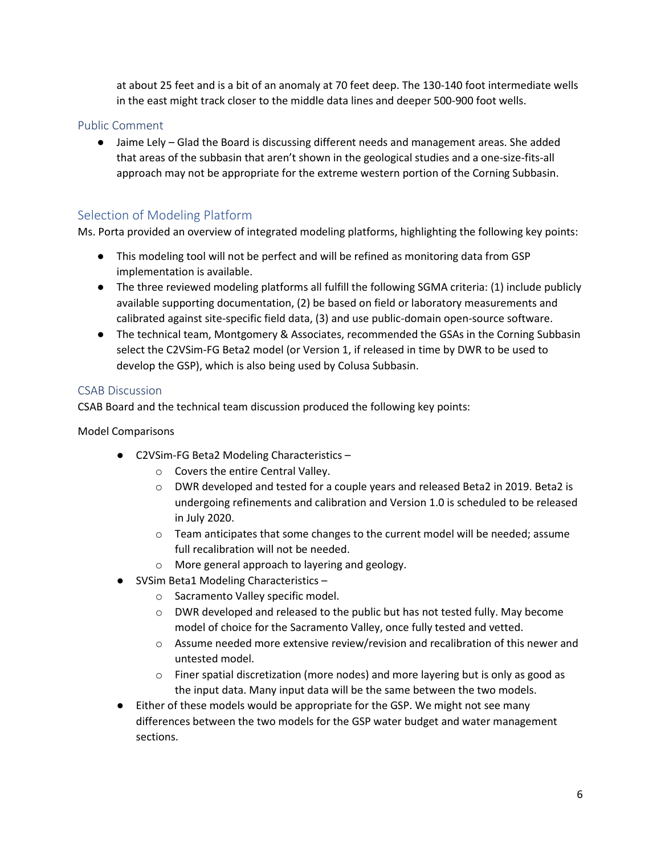at about 25 feet and is a bit of an anomaly at 70 feet deep. The 130-140 foot intermediate wells in the east might track closer to the middle data lines and deeper 500-900 foot wells.

### Public Comment

● Jaime Lely – Glad the Board is discussing different needs and management areas. She added that areas of the subbasin that aren't shown in the geological studies and a one-size-fits-all approach may not be appropriate for the extreme western portion of the Corning Subbasin.

## Selection of Modeling Platform

Ms. Porta provided an overview of integrated modeling platforms, highlighting the following key points:

- This modeling tool will not be perfect and will be refined as monitoring data from GSP implementation is available.
- The three reviewed modeling platforms all fulfill the following SGMA criteria: (1) include publicly available supporting documentation, (2) be based on field or laboratory measurements and calibrated against site-specific field data, (3) and use public-domain open-source software.
- The technical team, Montgomery & Associates, recommended the GSAs in the Corning Subbasin select the C2VSim-FG Beta2 model (or Version 1, if released in time by DWR to be used to develop the GSP), which is also being used by Colusa Subbasin.

#### CSAB Discussion

CSAB Board and the technical team discussion produced the following key points:

Model Comparisons

- C2VSim-FG Beta2 Modeling Characteristics
	- o Covers the entire Central Valley.
	- o DWR developed and tested for a couple years and released Beta2 in 2019. Beta2 is undergoing refinements and calibration and Version 1.0 is scheduled to be released in July 2020.
	- $\circ$  Team anticipates that some changes to the current model will be needed; assume full recalibration will not be needed.
	- o More general approach to layering and geology.
- SVSim Beta1 Modeling Characteristics
	- o Sacramento Valley specific model.
	- $\circ$  DWR developed and released to the public but has not tested fully. May become model of choice for the Sacramento Valley, once fully tested and vetted.
	- $\circ$  Assume needed more extensive review/revision and recalibration of this newer and untested model.
	- $\circ$  Finer spatial discretization (more nodes) and more layering but is only as good as the input data. Many input data will be the same between the two models.
- Either of these models would be appropriate for the GSP. We might not see many differences between the two models for the GSP water budget and water management sections.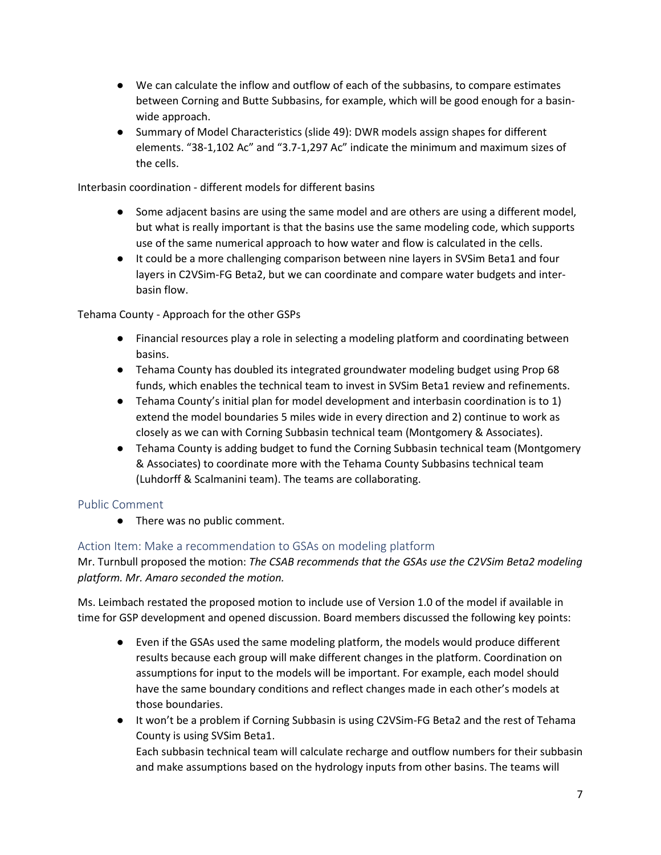- We can calculate the inflow and outflow of each of the subbasins, to compare estimates between Corning and Butte Subbasins, for example, which will be good enough for a basinwide approach.
- Summary of Model Characteristics (slide 49): DWR models assign shapes for different elements. "38-1,102 Ac" and "3.7-1,297 Ac" indicate the minimum and maximum sizes of the cells.

Interbasin coordination - different models for different basins

- Some adjacent basins are using the same model and are others are using a different model, but what is really important is that the basins use the same modeling code, which supports use of the same numerical approach to how water and flow is calculated in the cells.
- It could be a more challenging comparison between nine layers in SVSim Beta1 and four layers in C2VSim-FG Beta2, but we can coordinate and compare water budgets and interbasin flow.

Tehama County - Approach for the other GSPs

- Financial resources play a role in selecting a modeling platform and coordinating between basins.
- Tehama County has doubled its integrated groundwater modeling budget using Prop 68 funds, which enables the technical team to invest in SVSim Beta1 review and refinements.
- Tehama County's initial plan for model development and interbasin coordination is to 1) extend the model boundaries 5 miles wide in every direction and 2) continue to work as closely as we can with Corning Subbasin technical team (Montgomery & Associates).
- Tehama County is adding budget to fund the Corning Subbasin technical team (Montgomery & Associates) to coordinate more with the Tehama County Subbasins technical team (Luhdorff & Scalmanini team). The teams are collaborating.

### Public Comment

● There was no public comment.

### Action Item: Make a recommendation to GSAs on modeling platform

Mr. Turnbull proposed the motion: *The CSAB recommends that the GSAs use the C2VSim Beta2 modeling platform. Mr. Amaro seconded the motion.*

Ms. Leimbach restated the proposed motion to include use of Version 1.0 of the model if available in time for GSP development and opened discussion. Board members discussed the following key points:

- Even if the GSAs used the same modeling platform, the models would produce different results because each group will make different changes in the platform. Coordination on assumptions for input to the models will be important. For example, each model should have the same boundary conditions and reflect changes made in each other's models at those boundaries.
- It won't be a problem if Corning Subbasin is using C2VSim-FG Beta2 and the rest of Tehama County is using SVSim Beta1. Each subbasin technical team will calculate recharge and outflow numbers for their subbasin

and make assumptions based on the hydrology inputs from other basins. The teams will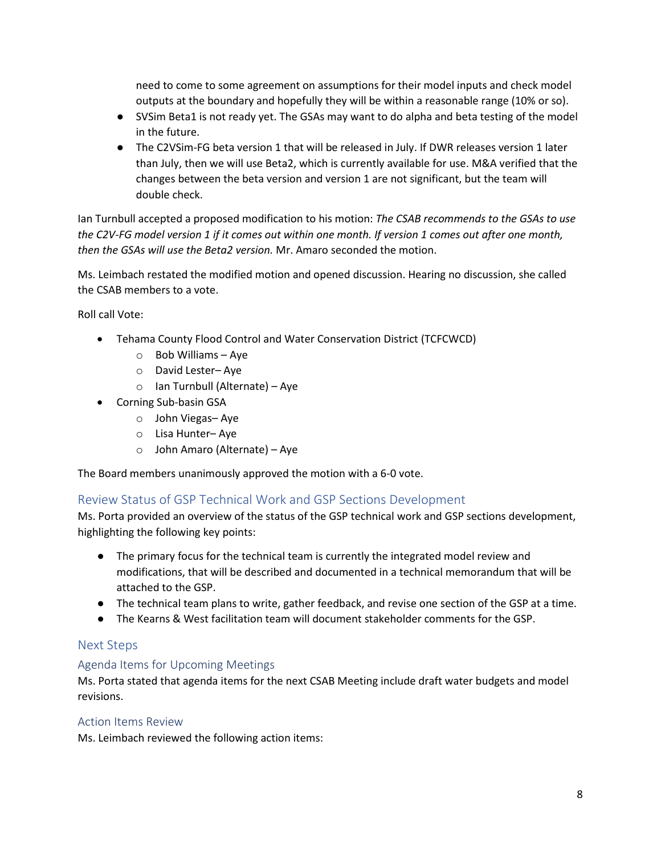need to come to some agreement on assumptions for their model inputs and check model outputs at the boundary and hopefully they will be within a reasonable range (10% or so).

- SVSim Beta1 is not ready yet. The GSAs may want to do alpha and beta testing of the model in the future.
- The C2VSim-FG beta version 1 that will be released in July. If DWR releases version 1 later than July, then we will use Beta2, which is currently available for use. M&A verified that the changes between the beta version and version 1 are not significant, but the team will double check.

Ian Turnbull accepted a proposed modification to his motion: *The CSAB recommends to the GSAs to use the C2V-FG model version 1 if it comes out within one month. If version 1 comes out after one month, then the GSAs will use the Beta2 version.* Mr. Amaro seconded the motion.

Ms. Leimbach restated the modified motion and opened discussion. Hearing no discussion, she called the CSAB members to a vote.

Roll call Vote:

- Tehama County Flood Control and Water Conservation District (TCFCWCD)
	- o Bob Williams Aye
	- o David Lester– Aye
	- o Ian Turnbull (Alternate) Aye
- Corning Sub-basin GSA
	- o John Viegas– Aye
	- o Lisa Hunter– Aye
	- o John Amaro (Alternate) Aye

The Board members unanimously approved the motion with a 6-0 vote.

### Review Status of GSP Technical Work and GSP Sections Development

Ms. Porta provided an overview of the status of the GSP technical work and GSP sections development, highlighting the following key points:

- The primary focus for the technical team is currently the integrated model review and modifications, that will be described and documented in a technical memorandum that will be attached to the GSP.
- The technical team plans to write, gather feedback, and revise one section of the GSP at a time.
- The Kearns & West facilitation team will document stakeholder comments for the GSP.

### Next Steps

### Agenda Items for Upcoming Meetings

Ms. Porta stated that agenda items for the next CSAB Meeting include draft water budgets and model revisions.

#### Action Items Review

Ms. Leimbach reviewed the following action items: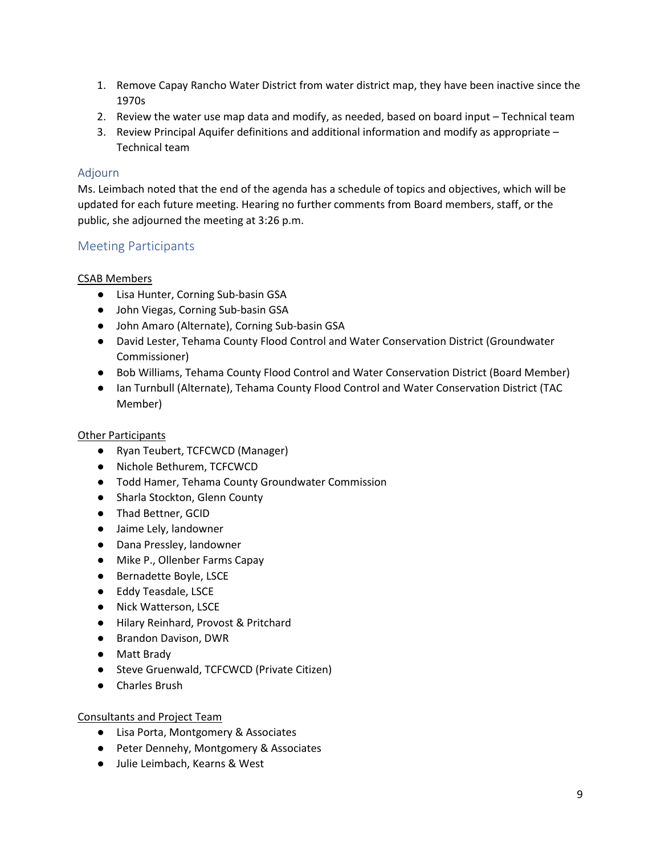- 1. Remove Capay Rancho Water District from water district map, they have been inactive since the 1970s
- 2. Review the water use map data and modify, as needed, based on board input Technical team
- 3. Review Principal Aquifer definitions and additional information and modify as appropriate Technical team

### Adjourn

Ms. Leimbach noted that the end of the agenda has a schedule of topics and objectives, which will be updated for each future meeting. Hearing no further comments from Board members, staff, or the public, she adjourned the meeting at 3:26 p.m.

## Meeting Participants

#### CSAB Members

- Lisa Hunter, Corning Sub-basin GSA
- John Viegas, Corning Sub-basin GSA
- John Amaro (Alternate), Corning Sub-basin GSA
- David Lester, Tehama County Flood Control and Water Conservation District (Groundwater Commissioner)
- Bob Williams, Tehama County Flood Control and Water Conservation District (Board Member)
- Ian Turnbull (Alternate), Tehama County Flood Control and Water Conservation District (TAC Member)

### Other Participants

- Ryan Teubert, TCFCWCD (Manager)
- Nichole Bethurem, TCFCWCD
- Todd Hamer, Tehama County Groundwater Commission
- Sharla Stockton, Glenn County
- Thad Bettner, GCID
- Jaime Lely, landowner
- Dana Pressley, landowner
- Mike P., Ollenber Farms Capay
- Bernadette Boyle, LSCE
- Eddy Teasdale, LSCE
- Nick Watterson, LSCE
- Hilary Reinhard, Provost & Pritchard
- Brandon Davison, DWR
- Matt Brady
- Steve Gruenwald, TCFCWCD (Private Citizen)
- Charles Brush

### Consultants and Project Team

- Lisa Porta, Montgomery & Associates
- Peter Dennehy, Montgomery & Associates
- Julie Leimbach, Kearns & West